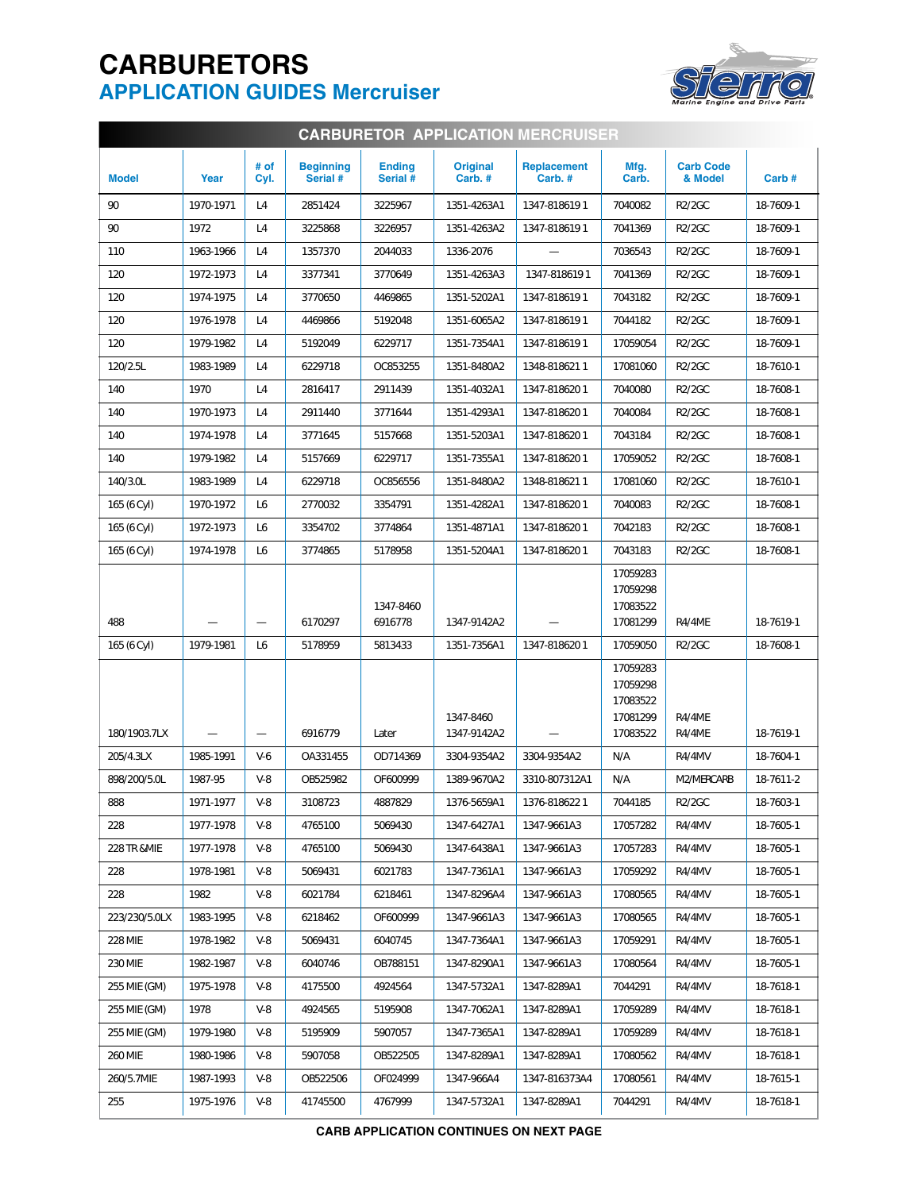## **CARBURETORS APPLICATION GUIDES Mercruiser**



| <b>CARBURETOR APPLICATION MERCRUISER</b> |           |              |                              |                           |                           |                              |                                                          |                             |           |  |  |
|------------------------------------------|-----------|--------------|------------------------------|---------------------------|---------------------------|------------------------------|----------------------------------------------------------|-----------------------------|-----------|--|--|
| <b>Model</b>                             | Year      | # of<br>Cyl. | <b>Beginning</b><br>Serial # | <b>Ending</b><br>Serial # | <b>Original</b><br>Carb.# | <b>Replacement</b><br>Carb.# | Mfg.<br>Carb.                                            | <b>Carb Code</b><br>& Model | Carb#     |  |  |
| 90                                       | 1970-1971 | L4           | 2851424                      | 3225967                   | 1351-4263A1               | 1347-8186191                 | 7040082                                                  | <b>R2/2GC</b>               | 18-7609-1 |  |  |
| 90                                       | 1972      | L4           | 3225868                      | 3226957                   | 1351-4263A2               | 1347-8186191                 | 7041369                                                  | <b>R2/2GC</b>               | 18-7609-1 |  |  |
| 110                                      | 1963-1966 | L4           | 1357370                      | 2044033                   | 1336-2076                 |                              | 7036543                                                  | <b>R2/2GC</b>               | 18-7609-1 |  |  |
| 120                                      | 1972-1973 | L4           | 3377341                      | 3770649                   | 1351-4263A3               | 1347-8186191                 | 7041369                                                  | <b>R2/2GC</b>               | 18-7609-1 |  |  |
| 120                                      | 1974-1975 | L4           | 3770650                      | 4469865                   | 1351-5202A1               | 1347-8186191                 | 7043182                                                  | <b>R2/2GC</b>               | 18-7609-1 |  |  |
| 120                                      | 1976-1978 | L4           | 4469866                      | 5192048                   | 1351-6065A2               | 1347-8186191                 | 7044182                                                  | <b>R2/2GC</b>               | 18-7609-1 |  |  |
| 120                                      | 1979-1982 | L4           | 5192049                      | 6229717                   | 1351-7354A1               | 1347-8186191                 | 17059054                                                 | <b>R2/2GC</b>               | 18-7609-1 |  |  |
| 120/2.5L                                 | 1983-1989 | L4           | 6229718                      | OC853255                  | 1351-8480A2               | 1348-8186211                 | 17081060                                                 | <b>R2/2GC</b>               | 18-7610-1 |  |  |
| 140                                      | 1970      | L4           | 2816417                      | 2911439                   | 1351-4032A1               | 1347-8186201                 | 7040080                                                  | <b>R2/2GC</b>               | 18-7608-1 |  |  |
| 140                                      | 1970-1973 | L4           | 2911440                      | 3771644                   | 1351-4293A1               | 1347-8186201                 | 7040084                                                  | <b>R2/2GC</b>               | 18-7608-1 |  |  |
| 140                                      | 1974-1978 | L4           | 3771645                      | 5157668                   | 1351-5203A1               | 1347-8186201                 | 7043184                                                  | <b>R2/2GC</b>               | 18-7608-1 |  |  |
| 140                                      | 1979-1982 | L4           | 5157669                      | 6229717                   | 1351-7355A1               | 1347-8186201                 | 17059052                                                 | <b>R2/2GC</b>               | 18-7608-1 |  |  |
| 140/3.0L                                 | 1983-1989 | L4           | 6229718                      | OC856556                  | 1351-8480A2               | 1348-8186211                 | 17081060                                                 | <b>R2/2GC</b>               | 18-7610-1 |  |  |
| 165 (6 Cyl)                              | 1970-1972 | L6           | 2770032                      | 3354791                   | 1351-4282A1               | 1347-8186201                 | 7040083                                                  | <b>R2/2GC</b>               | 18-7608-1 |  |  |
| 165 (6 Cyl)                              | 1972-1973 | L6           | 3354702                      | 3774864                   | 1351-4871A1               | 1347-8186201                 | 7042183                                                  | <b>R2/2GC</b>               | 18-7608-1 |  |  |
| 165 (6 Cyl)                              | 1974-1978 | L6           | 3774865                      | 5178958                   | 1351-5204A1               | 1347-8186201                 | 7043183                                                  | <b>R2/2GC</b>               | 18-7608-1 |  |  |
| 488                                      |           |              | 6170297                      | 1347-8460<br>6916778      | 1347-9142A2               |                              | 17059283<br>17059298<br>17083522<br>17081299             | R4/4ME                      | 18-7619-1 |  |  |
| 165 (6 Cyl)                              | 1979-1981 | L6           | 5178959                      | 5813433                   | 1351-7356A1               | 1347-8186201                 | 17059050                                                 | <b>R2/2GC</b>               | 18-7608-1 |  |  |
| 180/1903.7LX                             |           |              | 6916779                      | Later                     | 1347-8460<br>1347-9142A2  |                              | 17059283<br>17059298<br>17083522<br>17081299<br>17083522 | R4/4ME<br>R4/4ME            | 18-7619-1 |  |  |
| 205/4.3LX                                | 1985-1991 | $V-6$        | OA331455                     | OD714369                  | 3304-9354A2               | 3304-9354A2                  | N/A                                                      | R4/4MV                      | 18-7604-1 |  |  |
| 898/200/5.0L                             | 1987-95   | $V-8$        | OB525982                     | OF600999                  | 1389-9670A2               | 3310-807312A1                | N/A                                                      | M2/MERCARB                  | 18-7611-2 |  |  |
| 888                                      | 1971-1977 | V-8          | 3108723                      | 4887829                   | 1376-5659A1               | 1376-8186221                 | 7044185                                                  | R2/2GC                      | 18-7603-1 |  |  |
| 228                                      | 1977-1978 | $V-8$        | 4765100                      | 5069430                   | 1347-6427A1               | 1347-9661A3                  | 17057282                                                 | R4/4MV                      | 18-7605-1 |  |  |
| 228 TR & MIE                             | 1977-1978 | $V-8$        | 4765100                      | 5069430                   | 1347-6438A1               | 1347-9661A3                  | 17057283                                                 | R4/4MV                      | 18-7605-1 |  |  |
| 228                                      | 1978-1981 | $V-8$        | 5069431                      | 6021783                   | 1347-7361A1               | 1347-9661A3                  | 17059292                                                 | R4/4MV                      | 18-7605-1 |  |  |
| 228                                      | 1982      | $V-8$        | 6021784                      | 6218461                   | 1347-8296A4               | 1347-9661A3                  | 17080565                                                 | R4/4MV                      | 18-7605-1 |  |  |
| 223/230/5.0LX                            | 1983-1995 | $V-8$        | 6218462                      | OF600999                  | 1347-9661A3               | 1347-9661A3                  | 17080565                                                 | R4/4MV                      | 18-7605-1 |  |  |
| <b>228 MIE</b>                           | 1978-1982 | $V-8$        | 5069431                      | 6040745                   | 1347-7364A1               | 1347-9661A3                  | 17059291                                                 | R4/4MV                      | 18-7605-1 |  |  |
| 230 MIE                                  | 1982-1987 | $V-8$        | 6040746                      | OB788151                  | 1347-8290A1               | 1347-9661A3                  | 17080564                                                 | R4/4MV                      | 18-7605-1 |  |  |
| 255 MIE (GM)                             | 1975-1978 | $V-8$        | 4175500                      | 4924564                   | 1347-5732A1               | 1347-8289A1                  | 7044291                                                  | R4/4MV                      | 18-7618-1 |  |  |
| 255 MIE (GM)                             | 1978      | $V-8$        | 4924565                      | 5195908                   | 1347-7062A1               | 1347-8289A1                  | 17059289                                                 | R4/4MV                      | 18-7618-1 |  |  |
| 255 MIE (GM)                             | 1979-1980 | $V-8$        | 5195909                      | 5907057                   | 1347-7365A1               | 1347-8289A1                  | 17059289                                                 | R4/4MV                      | 18-7618-1 |  |  |
| <b>260 MIE</b>                           | 1980-1986 | $V-8$        | 5907058                      | OB522505                  | 1347-8289A1               | 1347-8289A1                  | 17080562                                                 | R4/4MV                      | 18-7618-1 |  |  |
| 260/5.7MIE                               | 1987-1993 | $V-8$        | OB522506                     | OF024999                  | 1347-966A4                | 1347-816373A4                | 17080561                                                 | R4/4MV                      | 18-7615-1 |  |  |
| 255                                      | 1975-1976 | $V-8$        | 41745500                     | 4767999                   | 1347-5732A1               | 1347-8289A1                  | 7044291                                                  | R4/4MV                      | 18-7618-1 |  |  |

**CARB APPLICATION CONTINUES ON NEXT PAGE**